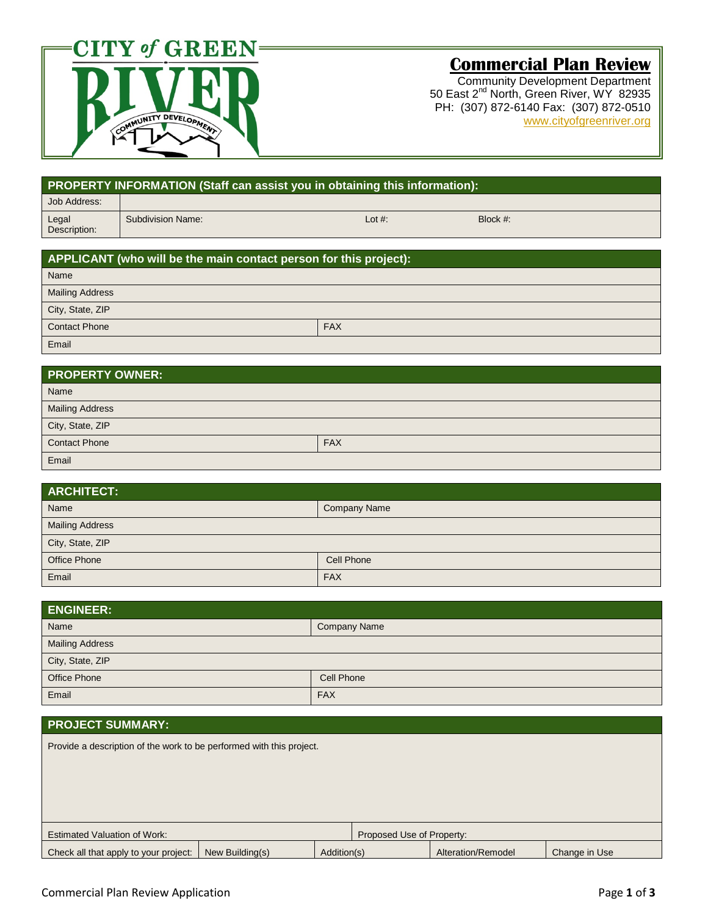

# **Commercial Plan Review**

Community Development Department 50 East 2<sup>nd</sup> North, Green River, WY 82935 PH: (307) 872-6140 Fax: (307) 872-0510 [www.cityofgreenriver.org](http://www.cityofgreenriver.org/)

|                                                   | PROPERTY INFORMATION (Staff can assist you in obtaining this information): |             |  |  |  |  |
|---------------------------------------------------|----------------------------------------------------------------------------|-------------|--|--|--|--|
| Job Address:                                      |                                                                            |             |  |  |  |  |
| <b>Subdivision Name:</b><br>Legal<br>Description: | Lot #:                                                                     | Block $#$ : |  |  |  |  |

| APPLICANT (who will be the main contact person for this project): |  |  |  |  |  |  |
|-------------------------------------------------------------------|--|--|--|--|--|--|
| Name                                                              |  |  |  |  |  |  |
| <b>Mailing Address</b>                                            |  |  |  |  |  |  |
| City, State, ZIP                                                  |  |  |  |  |  |  |
| <b>Contact Phone</b><br><b>FAX</b>                                |  |  |  |  |  |  |
| Email                                                             |  |  |  |  |  |  |

| <b>PROPERTY OWNER:</b>             |  |  |  |  |  |  |
|------------------------------------|--|--|--|--|--|--|
| Name                               |  |  |  |  |  |  |
| <b>Mailing Address</b>             |  |  |  |  |  |  |
| City, State, ZIP                   |  |  |  |  |  |  |
| <b>Contact Phone</b><br><b>FAX</b> |  |  |  |  |  |  |
| Email                              |  |  |  |  |  |  |

| <b>ARCHITECT:</b>          |                     |  |  |  |  |
|----------------------------|---------------------|--|--|--|--|
| Name                       | <b>Company Name</b> |  |  |  |  |
| <b>Mailing Address</b>     |                     |  |  |  |  |
| City, State, ZIP           |                     |  |  |  |  |
| Office Phone<br>Cell Phone |                     |  |  |  |  |
| Email                      | <b>FAX</b>          |  |  |  |  |

| <b>ENGINEER:</b>            |            |  |  |  |  |
|-----------------------------|------------|--|--|--|--|
| Name<br><b>Company Name</b> |            |  |  |  |  |
| <b>Mailing Address</b>      |            |  |  |  |  |
| City, State, ZIP            |            |  |  |  |  |
| Office Phone<br>Cell Phone  |            |  |  |  |  |
| Email                       | <b>FAX</b> |  |  |  |  |

### **PROJECT SUMMARY:**

Provide a description of the work to be performed with this project.

| <b>Estimated Valuation of Work:</b><br>Proposed Use of Property: |  |             |  |                    |               |
|------------------------------------------------------------------|--|-------------|--|--------------------|---------------|
| Check all that apply to your project:   New Building(s)          |  | Addition(s) |  | Alteration/Remodel | Change in Use |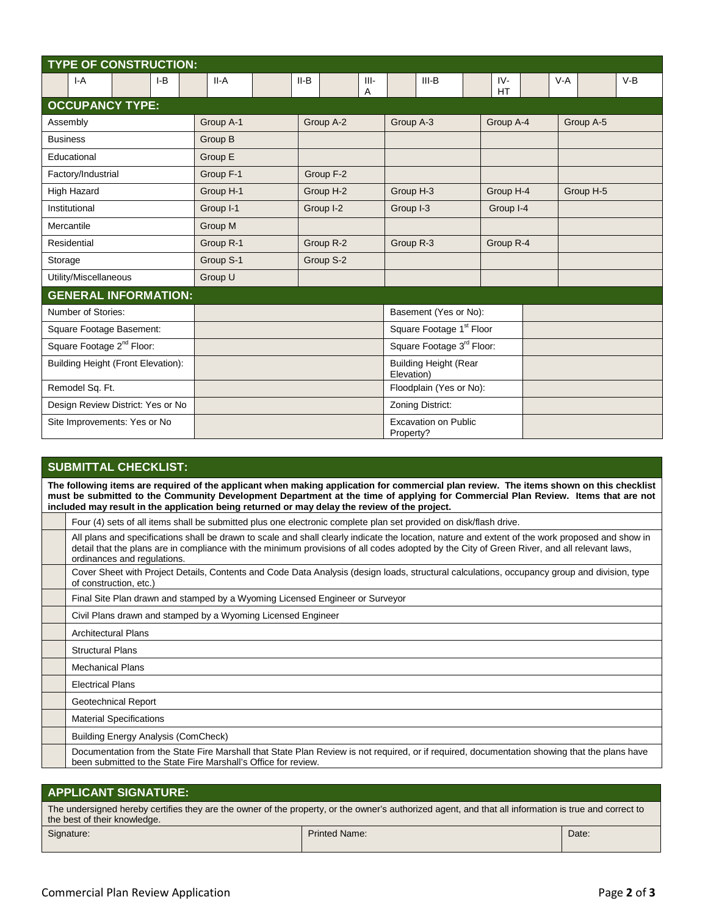| <b>TYPE OF CONSTRUCTION:</b>          |           |                        |                                            |                    |                |  |  |  |  |
|---------------------------------------|-----------|------------------------|--------------------------------------------|--------------------|----------------|--|--|--|--|
| $I-A$<br>$I-B$                        | $II-A$    | $II-B$<br>$III -$<br>A | $III-B$                                    | $IV-$<br><b>HT</b> | $V-B$<br>$V-A$ |  |  |  |  |
| <b>OCCUPANCY TYPE:</b>                |           |                        |                                            |                    |                |  |  |  |  |
| Assembly                              | Group A-1 | Group A-2              | Group A-3                                  | Group A-4          | Group A-5      |  |  |  |  |
| <b>Business</b>                       | Group B   |                        |                                            |                    |                |  |  |  |  |
| Educational                           | Group E   |                        |                                            |                    |                |  |  |  |  |
| Factory/Industrial                    | Group F-1 | Group F-2              |                                            |                    |                |  |  |  |  |
| High Hazard                           | Group H-1 | Group H-2              | Group H-3                                  | Group H-4          | Group H-5      |  |  |  |  |
| Institutional                         | Group I-1 | Group I-2              | Group I-3<br>Group I-4                     |                    |                |  |  |  |  |
| Mercantile                            | Group M   |                        |                                            |                    |                |  |  |  |  |
| Residential                           | Group R-1 | Group R-2              | Group R-3                                  | Group R-4          |                |  |  |  |  |
| Storage                               | Group S-1 | Group S-2              |                                            |                    |                |  |  |  |  |
| Utility/Miscellaneous                 | Group U   |                        |                                            |                    |                |  |  |  |  |
| <b>GENERAL INFORMATION:</b>           |           |                        |                                            |                    |                |  |  |  |  |
| Number of Stories:                    |           |                        | Basement (Yes or No):                      |                    |                |  |  |  |  |
| Square Footage Basement:              |           |                        | Square Footage 1 <sup>st</sup> Floor       |                    |                |  |  |  |  |
| Square Footage 2 <sup>nd</sup> Floor: |           |                        | Square Footage 3rd Floor:                  |                    |                |  |  |  |  |
| Building Height (Front Elevation):    |           |                        | <b>Building Height (Rear</b><br>Elevation) |                    |                |  |  |  |  |
| Remodel Sq. Ft.                       |           |                        | Floodplain (Yes or No):                    |                    |                |  |  |  |  |
| Design Review District: Yes or No     |           |                        | Zoning District:                           |                    |                |  |  |  |  |
| Site Improvements: Yes or No          |           |                        | <b>Excavation on Public</b><br>Property?   |                    |                |  |  |  |  |

## **SUBMITTAL CHECKLIST:**

**The following items are required of the applicant when making application for commercial plan review. The items shown on this checklist must be submitted to the Community Development Department at the time of applying for Commercial Plan Review. Items that are not included may result in the application being returned or may delay the review of the project.**

| Four (4) sets of all items shall be submitted plus one electronic complete plan set provided on disk/flash drive.                                                                                                                                                                                                              |
|--------------------------------------------------------------------------------------------------------------------------------------------------------------------------------------------------------------------------------------------------------------------------------------------------------------------------------|
| All plans and specifications shall be drawn to scale and shall clearly indicate the location, nature and extent of the work proposed and show in<br>detail that the plans are in compliance with the minimum provisions of all codes adopted by the City of Green River, and all relevant laws,<br>ordinances and regulations. |
| Cover Sheet with Project Details, Contents and Code Data Analysis (design loads, structural calculations, occupancy group and division, type<br>of construction, etc.)                                                                                                                                                         |
| Final Site Plan drawn and stamped by a Wyoming Licensed Engineer or Surveyor                                                                                                                                                                                                                                                   |
| Civil Plans drawn and stamped by a Wyoming Licensed Engineer                                                                                                                                                                                                                                                                   |
| <b>Architectural Plans</b>                                                                                                                                                                                                                                                                                                     |
| <b>Structural Plans</b>                                                                                                                                                                                                                                                                                                        |
| <b>Mechanical Plans</b>                                                                                                                                                                                                                                                                                                        |
| <b>Electrical Plans</b>                                                                                                                                                                                                                                                                                                        |
| Geotechnical Report                                                                                                                                                                                                                                                                                                            |
| <b>Material Specifications</b>                                                                                                                                                                                                                                                                                                 |
| <b>Building Energy Analysis (ComCheck)</b>                                                                                                                                                                                                                                                                                     |
| Documentation from the State Fire Marshall that State Plan Review is not required, or if required, documentation showing that the plans have<br>been submitted to the State Fire Marshall's Office for review.                                                                                                                 |

### **APPLICANT SIGNATURE:**

The undersigned hereby certifies they are the owner of the property, or the owner's authorized agent, and that all information is true and correct to the best of their knowledge. Signature: Date: Printed Name: Printed Name: Printed Name: Printed Name: Printed Name: Printed Name: Printed Name: Printed Name: Printed Name: Printed Name: Printed Name: Printed Name: Printed Name: Printed Name: Printed N